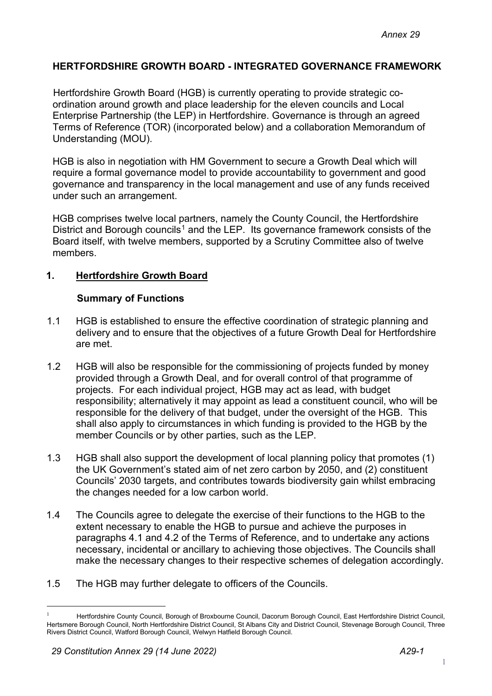## **HERTFORDSHIRE GROWTH BOARD - INTEGRATED GOVERNANCE FRAMEWORK**

Hertfordshire Growth Board (HGB) is currently operating to provide strategic coordination around growth and place leadership for the eleven councils and Local Enterprise Partnership (the LEP) in Hertfordshire. Governance is through an agreed Terms of Reference (TOR) (incorporated below) and a collaboration Memorandum of Understanding (MOU).

HGB is also in negotiation with HM Government to secure a Growth Deal which will require a formal governance model to provide accountability to government and good governance and transparency in the local management and use of any funds received under such an arrangement.

HGB comprises twelve local partners, namely the County Council, the Hertfordshire District and Borough councils<sup>[1](#page-0-0)</sup> and the LEP. Its governance framework consists of the Board itself, with twelve members, supported by a Scrutiny Committee also of twelve members.

## **1. Hertfordshire Growth Board**

### **Summary of Functions**

- 1.1 HGB is established to ensure the effective coordination of strategic planning and delivery and to ensure that the objectives of a future Growth Deal for Hertfordshire are met.
- 1.2 HGB will also be responsible for the commissioning of projects funded by money provided through a Growth Deal, and for overall control of that programme of projects. For each individual project, HGB may act as lead, with budget responsibility; alternatively it may appoint as lead a constituent council, who will be responsible for the delivery of that budget, under the oversight of the HGB. This shall also apply to circumstances in which funding is provided to the HGB by the member Councils or by other parties, such as the LEP.
- 1.3 HGB shall also support the development of local planning policy that promotes (1) the UK Government's stated aim of net zero carbon by 2050, and (2) constituent Councils' 2030 targets, and contributes towards biodiversity gain whilst embracing the changes needed for a low carbon world.
- 1.4 The Councils agree to delegate the exercise of their functions to the HGB to the extent necessary to enable the HGB to pursue and achieve the purposes in paragraphs 4.1 and 4.2 of the Terms of Reference, and to undertake any actions necessary, incidental or ancillary to achieving those objectives. The Councils shall make the necessary changes to their respective schemes of delegation accordingly.
- 1.5 The HGB may further delegate to officers of the Councils.

<span id="page-0-0"></span><sup>1</sup> Hertfordshire County Council, Borough of Broxbourne Council, Dacorum Borough Council, East Hertfordshire District Council, Hertsmere Borough Council, North Hertfordshire District Council, St Albans City and District Council, Stevenage Borough Council, Three Rivers District Council, Watford Borough Council, Welwyn Hatfield Borough Council.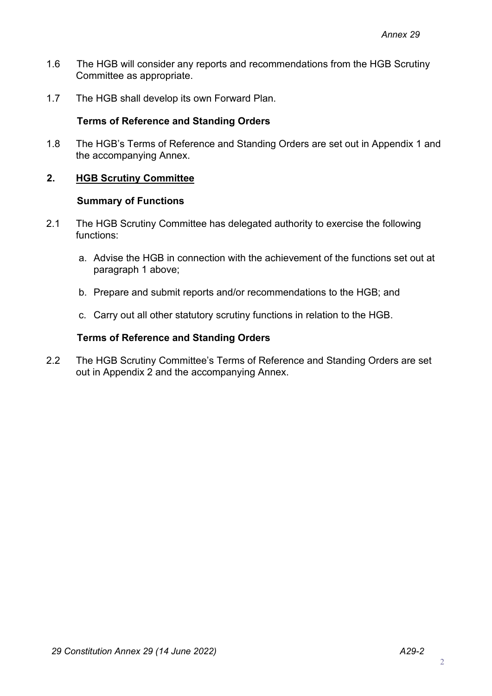- 1.6 The HGB will consider any reports and recommendations from the HGB Scrutiny Committee as appropriate.
- 1.7 The HGB shall develop its own Forward Plan.

## **Terms of Reference and Standing Orders**

1.8 The HGB's Terms of Reference and Standing Orders are set out in Appendix 1 and the accompanying Annex.

## **2. HGB Scrutiny Committee**

#### **Summary of Functions**

- 2.1 The HGB Scrutiny Committee has delegated authority to exercise the following functions:
	- a. Advise the HGB in connection with the achievement of the functions set out at paragraph 1 above;
	- b. Prepare and submit reports and/or recommendations to the HGB; and
	- c. Carry out all other statutory scrutiny functions in relation to the HGB.

### **Terms of Reference and Standing Orders**

2.2 The HGB Scrutiny Committee's Terms of Reference and Standing Orders are set out in Appendix 2 and the accompanying Annex.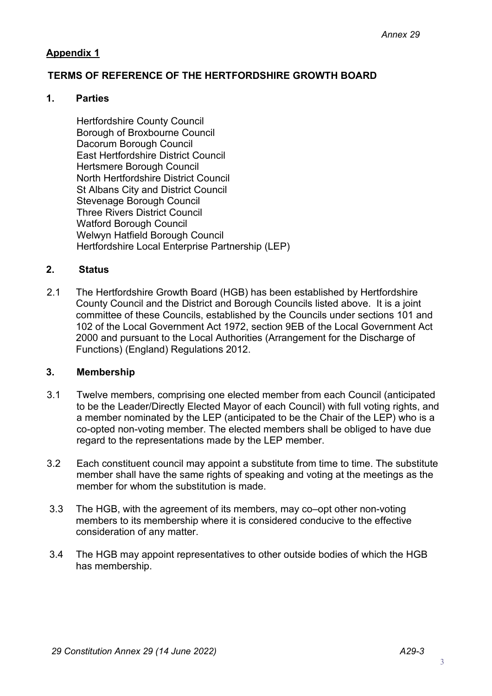## **Appendix 1**

# **TERMS OF REFERENCE OF THE HERTFORDSHIRE GROWTH BOARD**

### **1. Parties**

Hertfordshire County Council Borough of Broxbourne Council Dacorum Borough Council East Hertfordshire District Council Hertsmere Borough Council North Hertfordshire District Council St Albans City and District Council Stevenage Borough Council Three Rivers District Council Watford Borough Council Welwyn Hatfield Borough Council Hertfordshire Local Enterprise Partnership (LEP)

# **2. Status**

2.1 The Hertfordshire Growth Board (HGB) has been established by Hertfordshire County Council and the District and Borough Councils listed above. It is a joint committee of these Councils, established by the Councils under sections 101 and 102 of the Local Government Act 1972, section 9EB of the Local Government Act 2000 and pursuant to the Local Authorities (Arrangement for the Discharge of Functions) (England) Regulations 2012.

### **3. Membership**

- 3.1 Twelve members, comprising one elected member from each Council (anticipated to be the Leader/Directly Elected Mayor of each Council) with full voting rights, and a member nominated by the LEP (anticipated to be the Chair of the LEP) who is a co-opted non-voting member. The elected members shall be obliged to have due regard to the representations made by the LEP member.
- 3.2 Each constituent council may appoint a substitute from time to time. The substitute member shall have the same rights of speaking and voting at the meetings as the member for whom the substitution is made.
- 3.3 The HGB, with the agreement of its members, may co–opt other non-voting members to its membership where it is considered conducive to the effective consideration of any matter.
- 3.4 The HGB may appoint representatives to other outside bodies of which the HGB has membership.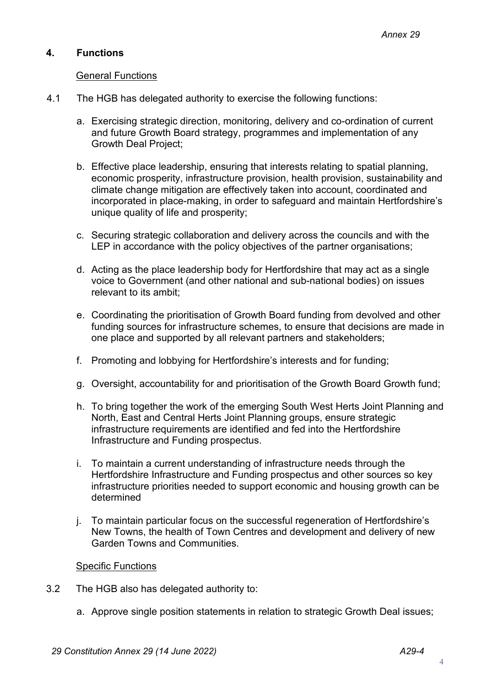## **4. Functions**

### General Functions

- 4.1 The HGB has delegated authority to exercise the following functions:
	- a. Exercising strategic direction, monitoring, delivery and co-ordination of current and future Growth Board strategy, programmes and implementation of any Growth Deal Project;
	- b. Effective place leadership, ensuring that interests relating to spatial planning, economic prosperity, infrastructure provision, health provision, sustainability and climate change mitigation are effectively taken into account, coordinated and incorporated in place-making, in order to safeguard and maintain Hertfordshire's unique quality of life and prosperity;
	- c. Securing strategic collaboration and delivery across the councils and with the LEP in accordance with the policy objectives of the partner organisations;
	- d. Acting as the place leadership body for Hertfordshire that may act as a single voice to Government (and other national and sub-national bodies) on issues relevant to its ambit;
	- e. Coordinating the prioritisation of Growth Board funding from devolved and other funding sources for infrastructure schemes, to ensure that decisions are made in one place and supported by all relevant partners and stakeholders;
	- f. Promoting and lobbying for Hertfordshire's interests and for funding;
	- g. Oversight, accountability for and prioritisation of the Growth Board Growth fund;
	- h. To bring together the work of the emerging South West Herts Joint Planning and North, East and Central Herts Joint Planning groups, ensure strategic infrastructure requirements are identified and fed into the Hertfordshire Infrastructure and Funding prospectus.
	- i. To maintain a current understanding of infrastructure needs through the Hertfordshire Infrastructure and Funding prospectus and other sources so key infrastructure priorities needed to support economic and housing growth can be determined
	- j. To maintain particular focus on the successful regeneration of Hertfordshire's New Towns, the health of Town Centres and development and delivery of new Garden Towns and Communities.

#### Specific Functions

- 3.2 The HGB also has delegated authority to:
	- a. Approve single position statements in relation to strategic Growth Deal issues;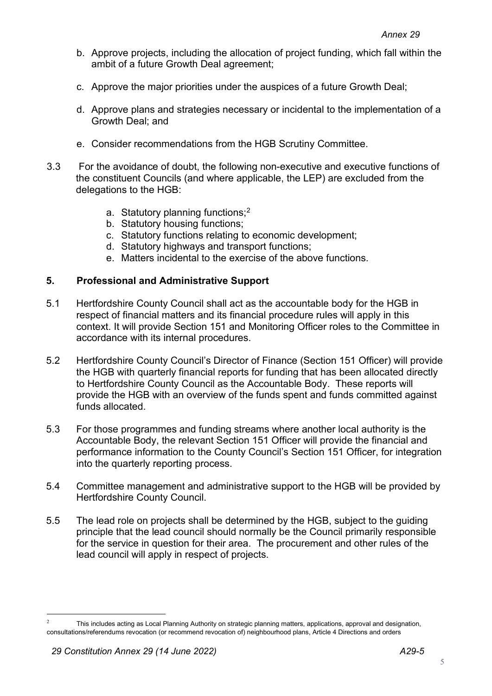- b. Approve projects, including the allocation of project funding, which fall within the ambit of a future Growth Deal agreement;
- c. Approve the major priorities under the auspices of a future Growth Deal;
- d. Approve plans and strategies necessary or incidental to the implementation of a Growth Deal; and
- e. Consider recommendations from the HGB Scrutiny Committee.
- 3.3 For the avoidance of doubt, the following non-executive and executive functions of the constituent Councils (and where applicable, the LEP) are excluded from the delegations to the HGB:
	- a. Statutory planning functions;<sup>[2](#page-4-0)</sup>
	- b. Statutory housing functions;
	- c. Statutory functions relating to economic development;
	- d. Statutory highways and transport functions;
	- e. Matters incidental to the exercise of the above functions.

## **5. Professional and Administrative Support**

- 5.1 Hertfordshire County Council shall act as the accountable body for the HGB in respect of financial matters and its financial procedure rules will apply in this context. It will provide Section 151 and Monitoring Officer roles to the Committee in accordance with its internal procedures.
- 5.2 Hertfordshire County Council's Director of Finance (Section 151 Officer) will provide the HGB with quarterly financial reports for funding that has been allocated directly to Hertfordshire County Council as the Accountable Body. These reports will provide the HGB with an overview of the funds spent and funds committed against funds allocated.
- 5.3 For those programmes and funding streams where another local authority is the Accountable Body, the relevant Section 151 Officer will provide the financial and performance information to the County Council's Section 151 Officer, for integration into the quarterly reporting process.
- 5.4 Committee management and administrative support to the HGB will be provided by Hertfordshire County Council.
- 5.5 The lead role on projects shall be determined by the HGB, subject to the guiding principle that the lead council should normally be the Council primarily responsible for the service in question for their area. The procurement and other rules of the lead council will apply in respect of projects.

<span id="page-4-0"></span><sup>&</sup>lt;sup>2</sup> This includes acting as Local Planning Authority on strategic planning matters, applications, approval and designation, consultations/referendums revocation (or recommend revocation of) neighbourhood plans, Article 4 Directions and orders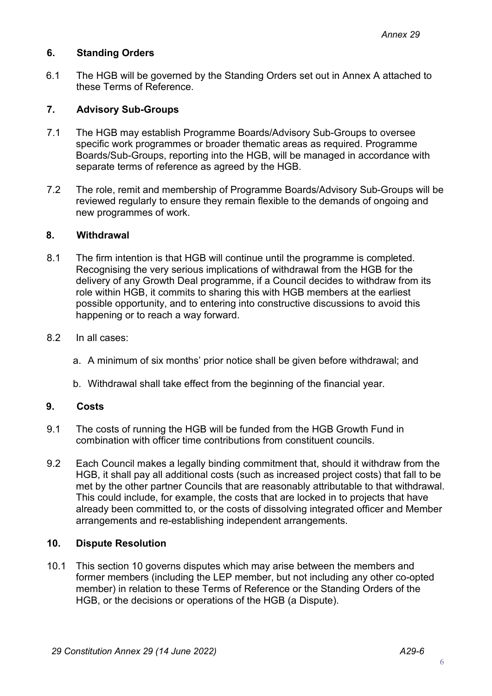## **6. Standing Orders**

6.1 The HGB will be governed by the Standing Orders set out in Annex A attached to these Terms of Reference.

## **7. Advisory Sub-Groups**

- 7.1 The HGB may establish Programme Boards/Advisory Sub-Groups to oversee specific work programmes or broader thematic areas as required. Programme Boards/Sub-Groups, reporting into the HGB, will be managed in accordance with separate terms of reference as agreed by the HGB.
- 7.2 The role, remit and membership of Programme Boards/Advisory Sub-Groups will be reviewed regularly to ensure they remain flexible to the demands of ongoing and new programmes of work.

### **8. Withdrawal**

- 8.1 The firm intention is that HGB will continue until the programme is completed. Recognising the very serious implications of withdrawal from the HGB for the delivery of any Growth Deal programme, if a Council decides to withdraw from its role within HGB, it commits to sharing this with HGB members at the earliest possible opportunity, and to entering into constructive discussions to avoid this happening or to reach a way forward.
- 8.2 In all cases:
	- a. A minimum of six months' prior notice shall be given before withdrawal; and
	- b. Withdrawal shall take effect from the beginning of the financial year.

### **9. Costs**

- 9.1 The costs of running the HGB will be funded from the HGB Growth Fund in combination with officer time contributions from constituent councils.
- 9.2 Each Council makes a legally binding commitment that, should it withdraw from the HGB, it shall pay all additional costs (such as increased project costs) that fall to be met by the other partner Councils that are reasonably attributable to that withdrawal. This could include, for example, the costs that are locked in to projects that have already been committed to, or the costs of dissolving integrated officer and Member arrangements and re-establishing independent arrangements.

### **10. Dispute Resolution**

10.1 This section 10 governs disputes which may arise between the members and former members (including the LEP member, but not including any other co-opted member) in relation to these Terms of Reference or the Standing Orders of the HGB, or the decisions or operations of the HGB (a Dispute).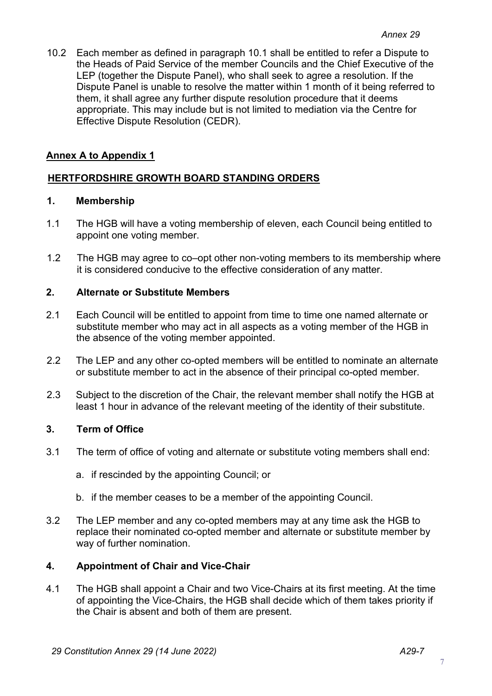10.2 Each member as defined in paragraph 10.1 shall be entitled to refer a Dispute to the Heads of Paid Service of the member Councils and the Chief Executive of the LEP (together the Dispute Panel), who shall seek to agree a resolution. If the Dispute Panel is unable to resolve the matter within 1 month of it being referred to them, it shall agree any further dispute resolution procedure that it deems appropriate. This may include but is not limited to mediation via the Centre for Effective Dispute Resolution (CEDR).

## **Annex A to Appendix 1**

# **HERTFORDSHIRE GROWTH BOARD STANDING ORDERS**

#### **1. Membership**

- 1.1 The HGB will have a voting membership of eleven, each Council being entitled to appoint one voting member.
- 1.2 The HGB may agree to co–opt other non-voting members to its membership where it is considered conducive to the effective consideration of any matter.

#### **2. Alternate or Substitute Members**

- 2.1 Each Council will be entitled to appoint from time to time one named alternate or substitute member who may act in all aspects as a voting member of the HGB in the absence of the voting member appointed.
- 2.2 The LEP and any other co-opted members will be entitled to nominate an alternate or substitute member to act in the absence of their principal co-opted member.
- 2.3 Subject to the discretion of the Chair, the relevant member shall notify the HGB at least 1 hour in advance of the relevant meeting of the identity of their substitute.

### **3. Term of Office**

- 3.1 The term of office of voting and alternate or substitute voting members shall end:
	- a. if rescinded by the appointing Council; or
	- b. if the member ceases to be a member of the appointing Council.
- 3.2 The LEP member and any co-opted members may at any time ask the HGB to replace their nominated co-opted member and alternate or substitute member by way of further nomination.

### **4. Appointment of Chair and Vice-Chair**

4.1 The HGB shall appoint a Chair and two Vice-Chairs at its first meeting. At the time of appointing the Vice-Chairs, the HGB shall decide which of them takes priority if the Chair is absent and both of them are present.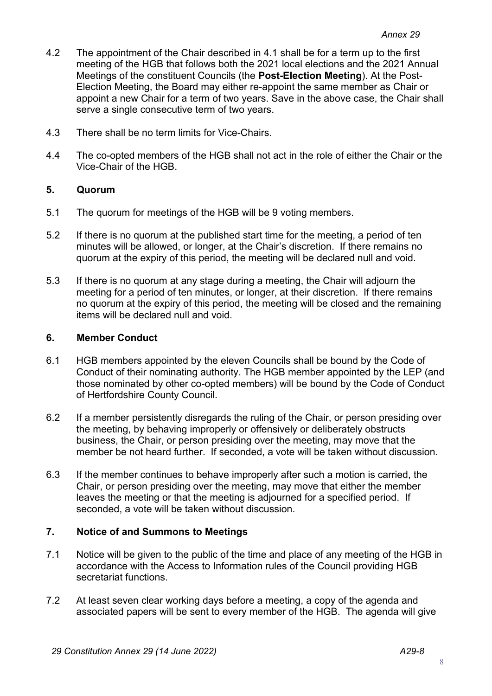- 4.2 The appointment of the Chair described in 4.1 shall be for a term up to the first meeting of the HGB that follows both the 2021 local elections and the 2021 Annual Meetings of the constituent Councils (the **Post-Election Meeting**). At the Post-Election Meeting, the Board may either re-appoint the same member as Chair or appoint a new Chair for a term of two years. Save in the above case, the Chair shall serve a single consecutive term of two years.
- 4.3 There shall be no term limits for Vice-Chairs.
- 4.4 The co-opted members of the HGB shall not act in the role of either the Chair or the Vice-Chair of the HGB.

### **5. Quorum**

- 5.1 The quorum for meetings of the HGB will be 9 voting members.
- 5.2 If there is no quorum at the published start time for the meeting, a period of ten minutes will be allowed, or longer, at the Chair's discretion. If there remains no quorum at the expiry of this period, the meeting will be declared null and void.
- 5.3 If there is no quorum at any stage during a meeting, the Chair will adjourn the meeting for a period of ten minutes, or longer, at their discretion. If there remains no quorum at the expiry of this period, the meeting will be closed and the remaining items will be declared null and void.

### **6. Member Conduct**

- 6.1 HGB members appointed by the eleven Councils shall be bound by the Code of Conduct of their nominating authority. The HGB member appointed by the LEP (and those nominated by other co-opted members) will be bound by the Code of Conduct of Hertfordshire County Council.
- 6.2 If a member persistently disregards the ruling of the Chair, or person presiding over the meeting, by behaving improperly or offensively or deliberately obstructs business, the Chair, or person presiding over the meeting, may move that the member be not heard further. If seconded, a vote will be taken without discussion.
- 6.3 If the member continues to behave improperly after such a motion is carried, the Chair, or person presiding over the meeting, may move that either the member leaves the meeting or that the meeting is adjourned for a specified period. If seconded, a vote will be taken without discussion.

# **7. Notice of and Summons to Meetings**

- 7.1 Notice will be given to the public of the time and place of any meeting of the HGB in accordance with the Access to Information rules of the Council providing HGB secretariat functions.
- 7.2 At least seven clear working days before a meeting, a copy of the agenda and associated papers will be sent to every member of the HGB. The agenda will give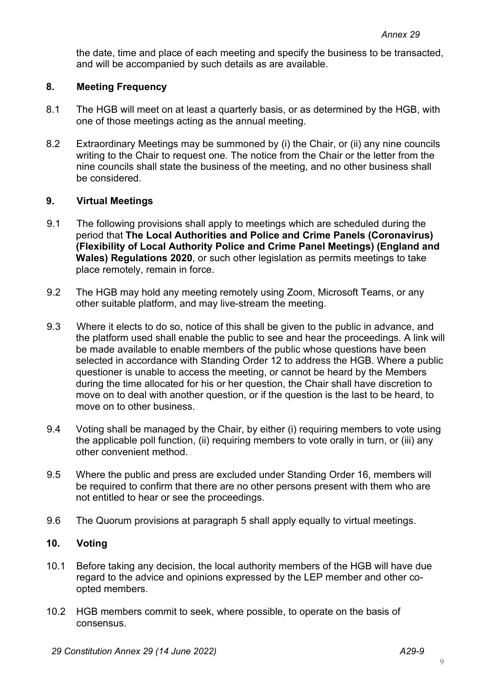the date, time and place of each meeting and specify the business to be transacted, and will be accompanied by such details as are available.

## **8. Meeting Frequency**

- 8.1 The HGB will meet on at least a quarterly basis, or as determined by the HGB, with one of those meetings acting as the annual meeting.
- 8.2 Extraordinary Meetings may be summoned by (i) the Chair, or (ii) any nine councils writing to the Chair to request one. The notice from the Chair or the letter from the nine councils shall state the business of the meeting, and no other business shall be considered.

### **9. Virtual Meetings**

- 9.1 The following provisions shall apply to meetings which are scheduled during the period that **The Local Authorities and Police and Crime Panels (Coronavirus) (Flexibility of Local Authority Police and Crime Panel Meetings) (England and Wales) Regulations 2020**, or such other legislation as permits meetings to take place remotely, remain in force.
- 9.2 The HGB may hold any meeting remotely using Zoom, Microsoft Teams, or any other suitable platform, and may live-stream the meeting.
- 9.3 Where it elects to do so, notice of this shall be given to the public in advance, and the platform used shall enable the public to see and hear the proceedings. A link will be made available to enable members of the public whose questions have been selected in accordance with Standing Order 12 to address the HGB. Where a public questioner is unable to access the meeting, or cannot be heard by the Members during the time allocated for his or her question, the Chair shall have discretion to move on to deal with another question, or if the question is the last to be heard, to move on to other business.
- 9.4 Voting shall be managed by the Chair, by either (i) requiring members to vote using the applicable poll function, (ii) requiring members to vote orally in turn, or (iii) any other convenient method.
- 9.5 Where the public and press are excluded under Standing Order 16, members will be required to confirm that there are no other persons present with them who are not entitled to hear or see the proceedings.
- 9.6 The Quorum provisions at paragraph 5 shall apply equally to virtual meetings.

## **10. Voting**

- 10.1 Before taking any decision, the local authority members of the HGB will have due regard to the advice and opinions expressed by the LEP member and other coopted members.
- 10.2 HGB members commit to seek, where possible, to operate on the basis of consensus.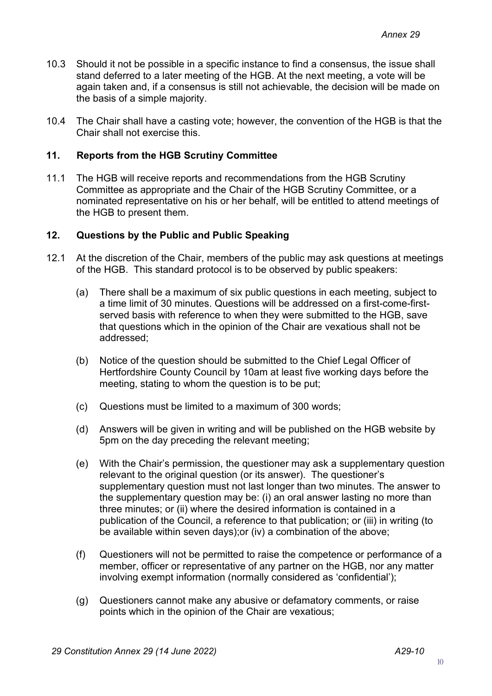- 10.3 Should it not be possible in a specific instance to find a consensus, the issue shall stand deferred to a later meeting of the HGB. At the next meeting, a vote will be again taken and, if a consensus is still not achievable, the decision will be made on the basis of a simple majority.
- 10.4 The Chair shall have a casting vote; however, the convention of the HGB is that the Chair shall not exercise this.

## **11. Reports from the HGB Scrutiny Committee**

11.1 The HGB will receive reports and recommendations from the HGB Scrutiny Committee as appropriate and the Chair of the HGB Scrutiny Committee, or a nominated representative on his or her behalf, will be entitled to attend meetings of the HGB to present them.

### **12. Questions by the Public and Public Speaking**

- 12.1 At the discretion of the Chair, members of the public may ask questions at meetings of the HGB. This standard protocol is to be observed by public speakers:
	- (a) There shall be a maximum of six public questions in each meeting, subject to a time limit of 30 minutes. Questions will be addressed on a first-come-firstserved basis with reference to when they were submitted to the HGB, save that questions which in the opinion of the Chair are vexatious shall not be addressed;
	- (b) Notice of the question should be submitted to the Chief Legal Officer of Hertfordshire County Council by 10am at least five working days before the meeting, stating to whom the question is to be put;
	- (c) Questions must be limited to a maximum of 300 words;
	- (d) Answers will be given in writing and will be published on the HGB website by 5pm on the day preceding the relevant meeting;
	- (e) With the Chair's permission, the questioner may ask a supplementary question relevant to the original question (or its answer). The questioner's supplementary question must not last longer than two minutes. The answer to the supplementary question may be: (i) an oral answer lasting no more than three minutes; or (ii) where the desired information is contained in a publication of the Council, a reference to that publication; or (iii) in writing (to be available within seven days);or (iv) a combination of the above;
	- (f) Questioners will not be permitted to raise the competence or performance of a member, officer or representative of any partner on the HGB, nor any matter involving exempt information (normally considered as 'confidential');
	- (g) Questioners cannot make any abusive or defamatory comments, or raise points which in the opinion of the Chair are vexatious;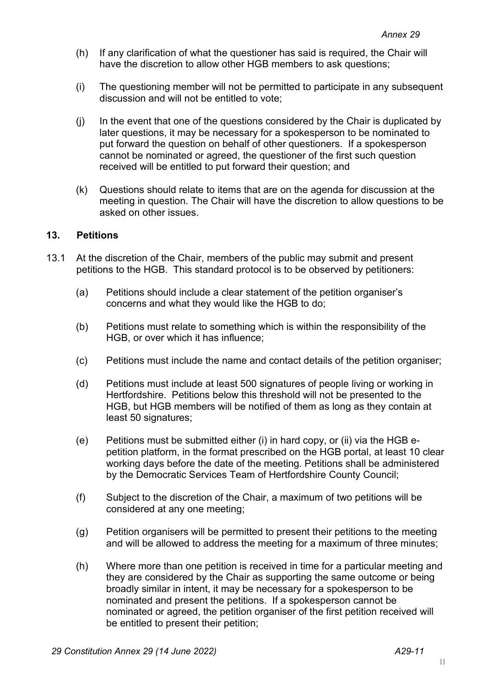- (h) If any clarification of what the questioner has said is required, the Chair will have the discretion to allow other HGB members to ask questions;
- (i) The questioning member will not be permitted to participate in any subsequent discussion and will not be entitled to vote;
- (j) In the event that one of the questions considered by the Chair is duplicated by later questions, it may be necessary for a spokesperson to be nominated to put forward the question on behalf of other questioners. If a spokesperson cannot be nominated or agreed, the questioner of the first such question received will be entitled to put forward their question; and
- (k) Questions should relate to items that are on the agenda for discussion at the meeting in question. The Chair will have the discretion to allow questions to be asked on other issues.

### **13. Petitions**

- 13.1 At the discretion of the Chair, members of the public may submit and present petitions to the HGB. This standard protocol is to be observed by petitioners:
	- (a) Petitions should include a clear statement of the petition organiser's concerns and what they would like the HGB to do;
	- (b) Petitions must relate to something which is within the responsibility of the HGB, or over which it has influence;
	- (c) Petitions must include the name and contact details of the petition organiser;
	- (d) Petitions must include at least 500 signatures of people living or working in Hertfordshire. Petitions below this threshold will not be presented to the HGB, but HGB members will be notified of them as long as they contain at least 50 signatures;
	- (e) Petitions must be submitted either (i) in hard copy, or (ii) via the HGB epetition platform, in the format prescribed on the HGB portal, at least 10 clear working days before the date of the meeting. Petitions shall be administered by the Democratic Services Team of Hertfordshire County Council;
	- (f) Subject to the discretion of the Chair, a maximum of two petitions will be considered at any one meeting;
	- (g) Petition organisers will be permitted to present their petitions to the meeting and will be allowed to address the meeting for a maximum of three minutes;
	- (h) Where more than one petition is received in time for a particular meeting and they are considered by the Chair as supporting the same outcome or being broadly similar in intent, it may be necessary for a spokesperson to be nominated and present the petitions. If a spokesperson cannot be nominated or agreed, the petition organiser of the first petition received will be entitled to present their petition;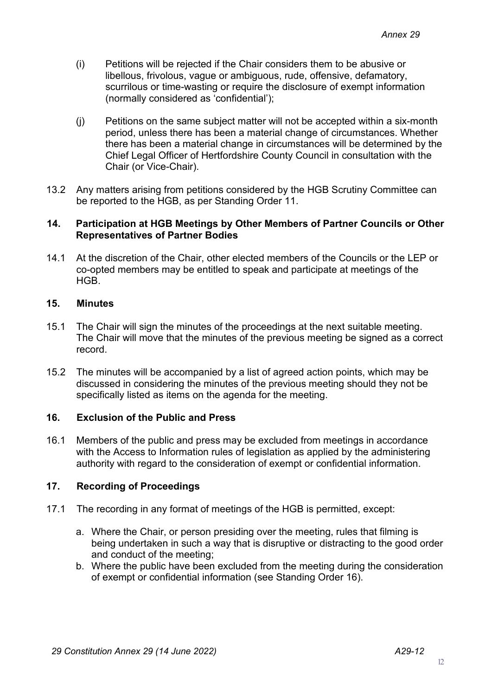- (i) Petitions will be rejected if the Chair considers them to be abusive or libellous, frivolous, vague or ambiguous, rude, offensive, defamatory, scurrilous or time-wasting or require the disclosure of exempt information (normally considered as 'confidential');
- (j) Petitions on the same subject matter will not be accepted within a six-month period, unless there has been a material change of circumstances. Whether there has been a material change in circumstances will be determined by the Chief Legal Officer of Hertfordshire County Council in consultation with the Chair (or Vice-Chair).
- 13.2 Any matters arising from petitions considered by the HGB Scrutiny Committee can be reported to the HGB, as per Standing Order 11.

#### **14. Participation at HGB Meetings by Other Members of Partner Councils or Other Representatives of Partner Bodies**

14.1 At the discretion of the Chair, other elected members of the Councils or the LEP or co-opted members may be entitled to speak and participate at meetings of the HGB.

## **15. Minutes**

- 15.1 The Chair will sign the minutes of the proceedings at the next suitable meeting. The Chair will move that the minutes of the previous meeting be signed as a correct record.
- 15.2 The minutes will be accompanied by a list of agreed action points, which may be discussed in considering the minutes of the previous meeting should they not be specifically listed as items on the agenda for the meeting.

### **16. Exclusion of the Public and Press**

16.1 Members of the public and press may be excluded from meetings in accordance with the Access to Information rules of legislation as applied by the administering authority with regard to the consideration of exempt or confidential information.

### **17. Recording of Proceedings**

- 17.1 The recording in any format of meetings of the HGB is permitted, except:
	- a. Where the Chair, or person presiding over the meeting, rules that filming is being undertaken in such a way that is disruptive or distracting to the good order and conduct of the meeting;
	- b. Where the public have been excluded from the meeting during the consideration of exempt or confidential information (see Standing Order 16).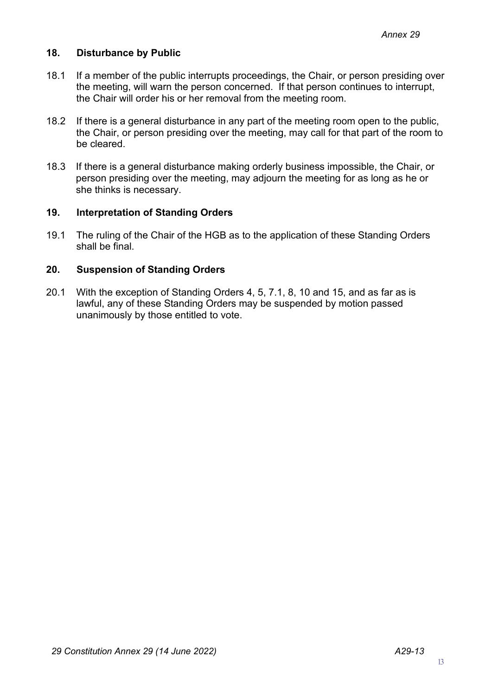## **18. Disturbance by Public**

- 18.1 If a member of the public interrupts proceedings, the Chair, or person presiding over the meeting, will warn the person concerned. If that person continues to interrupt, the Chair will order his or her removal from the meeting room.
- 18.2 If there is a general disturbance in any part of the meeting room open to the public, the Chair, or person presiding over the meeting, may call for that part of the room to be cleared.
- 18.3 If there is a general disturbance making orderly business impossible, the Chair, or person presiding over the meeting, may adjourn the meeting for as long as he or she thinks is necessary.

### **19. Interpretation of Standing Orders**

19.1 The ruling of the Chair of the HGB as to the application of these Standing Orders shall be final.

## **20. Suspension of Standing Orders**

20.1 With the exception of Standing Orders 4, 5, 7.1, 8, 10 and 15, and as far as is lawful, any of these Standing Orders may be suspended by motion passed unanimously by those entitled to vote.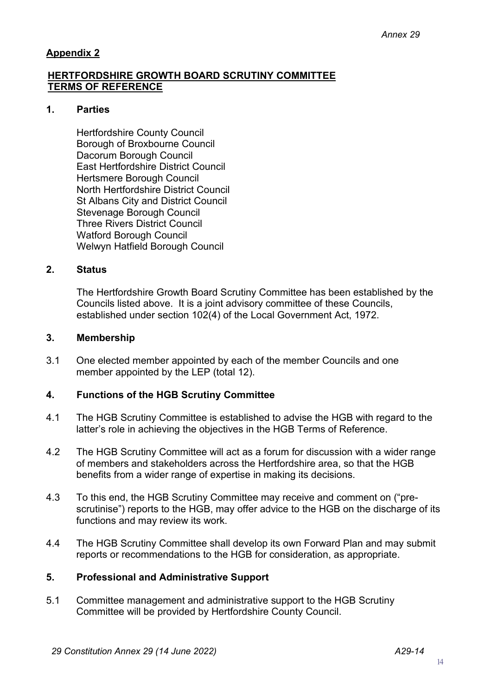# **Appendix 2**

## **HERTFORDSHIRE GROWTH BOARD SCRUTINY COMMITTEE TERMS OF REFERENCE**

### **1. Parties**

Hertfordshire County Council Borough of Broxbourne Council Dacorum Borough Council East Hertfordshire District Council Hertsmere Borough Council North Hertfordshire District Council St Albans City and District Council Stevenage Borough Council Three Rivers District Council Watford Borough Council Welwyn Hatfield Borough Council

# **2. Status**

The Hertfordshire Growth Board Scrutiny Committee has been established by the Councils listed above. It is a joint advisory committee of these Councils, established under section 102(4) of the Local Government Act, 1972.

#### **3. Membership**

3.1 One elected member appointed by each of the member Councils and one member appointed by the LEP (total 12).

## **4. Functions of the HGB Scrutiny Committee**

- 4.1 The HGB Scrutiny Committee is established to advise the HGB with regard to the latter's role in achieving the objectives in the HGB Terms of Reference.
- 4.2 The HGB Scrutiny Committee will act as a forum for discussion with a wider range of members and stakeholders across the Hertfordshire area, so that the HGB benefits from a wider range of expertise in making its decisions.
- 4.3 To this end, the HGB Scrutiny Committee may receive and comment on ("prescrutinise") reports to the HGB, may offer advice to the HGB on the discharge of its functions and may review its work.
- 4.4 The HGB Scrutiny Committee shall develop its own Forward Plan and may submit reports or recommendations to the HGB for consideration, as appropriate.

### **5. Professional and Administrative Support**

5.1 Committee management and administrative support to the HGB Scrutiny Committee will be provided by Hertfordshire County Council.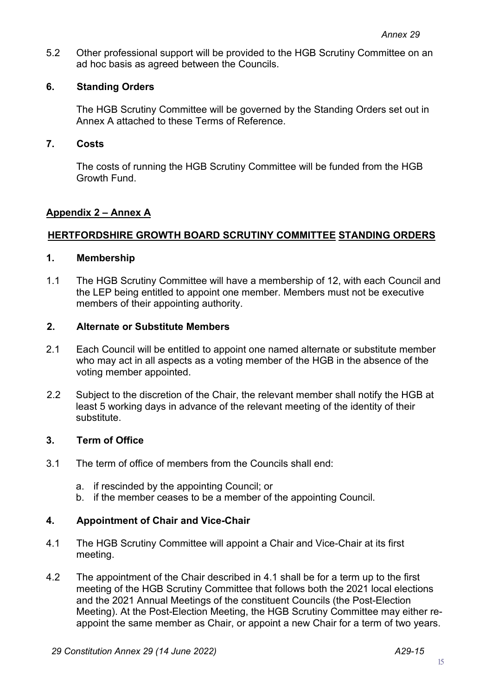5.2 Other professional support will be provided to the HGB Scrutiny Committee on an ad hoc basis as agreed between the Councils.

## **6. Standing Orders**

The HGB Scrutiny Committee will be governed by the Standing Orders set out in Annex A attached to these Terms of Reference.

### **7. Costs**

The costs of running the HGB Scrutiny Committee will be funded from the HGB Growth Fund.

## **Appendix 2 – Annex A**

## **HERTFORDSHIRE GROWTH BOARD SCRUTINY COMMITTEE STANDING ORDERS**

## **1. Membership**

1.1 The HGB Scrutiny Committee will have a membership of 12, with each Council and the LEP being entitled to appoint one member. Members must not be executive members of their appointing authority.

### **2. Alternate or Substitute Members**

- 2.1 Each Council will be entitled to appoint one named alternate or substitute member who may act in all aspects as a voting member of the HGB in the absence of the voting member appointed.
- 2.2 Subject to the discretion of the Chair, the relevant member shall notify the HGB at least 5 working days in advance of the relevant meeting of the identity of their substitute.

### **3. Term of Office**

- 3.1 The term of office of members from the Councils shall end:
	- a. if rescinded by the appointing Council; or
	- b. if the member ceases to be a member of the appointing Council.

### **4. Appointment of Chair and Vice-Chair**

- 4.1 The HGB Scrutiny Committee will appoint a Chair and Vice-Chair at its first meeting.
- 4.2 The appointment of the Chair described in 4.1 shall be for a term up to the first meeting of the HGB Scrutiny Committee that follows both the 2021 local elections and the 2021 Annual Meetings of the constituent Councils (the Post-Election Meeting). At the Post-Election Meeting, the HGB Scrutiny Committee may either reappoint the same member as Chair, or appoint a new Chair for a term of two years.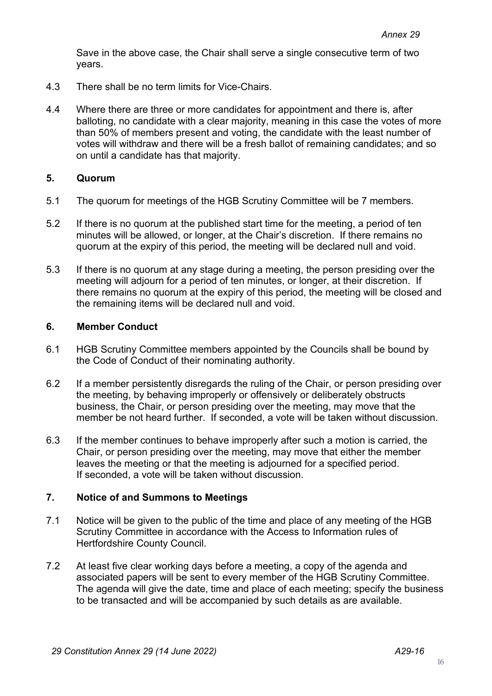Save in the above case, the Chair shall serve a single consecutive term of two years.

- 4.3 There shall be no term limits for Vice-Chairs.
- 4.4 Where there are three or more candidates for appointment and there is, after balloting, no candidate with a clear majority, meaning in this case the votes of more than 50% of members present and voting, the candidate with the least number of votes will withdraw and there will be a fresh ballot of remaining candidates; and so on until a candidate has that majority.

### **5. Quorum**

- 5.1 The quorum for meetings of the HGB Scrutiny Committee will be 7 members.
- 5.2 If there is no quorum at the published start time for the meeting, a period of ten minutes will be allowed, or longer, at the Chair's discretion. If there remains no quorum at the expiry of this period, the meeting will be declared null and void.
- 5.3 If there is no quorum at any stage during a meeting, the person presiding over the meeting will adjourn for a period of ten minutes, or longer, at their discretion. If there remains no quorum at the expiry of this period, the meeting will be closed and the remaining items will be declared null and void.

### **6. Member Conduct**

- 6.1 HGB Scrutiny Committee members appointed by the Councils shall be bound by the Code of Conduct of their nominating authority.
- 6.2 If a member persistently disregards the ruling of the Chair, or person presiding over the meeting, by behaving improperly or offensively or deliberately obstructs business, the Chair, or person presiding over the meeting, may move that the member be not heard further. If seconded, a vote will be taken without discussion.
- 6.3 If the member continues to behave improperly after such a motion is carried, the Chair, or person presiding over the meeting, may move that either the member leaves the meeting or that the meeting is adjourned for a specified period. If seconded, a vote will be taken without discussion.

### **7. Notice of and Summons to Meetings**

- 7.1 Notice will be given to the public of the time and place of any meeting of the HGB Scrutiny Committee in accordance with the Access to Information rules of Hertfordshire County Council.
- 7.2 At least five clear working days before a meeting, a copy of the agenda and associated papers will be sent to every member of the HGB Scrutiny Committee. The agenda will give the date, time and place of each meeting; specify the business to be transacted and will be accompanied by such details as are available.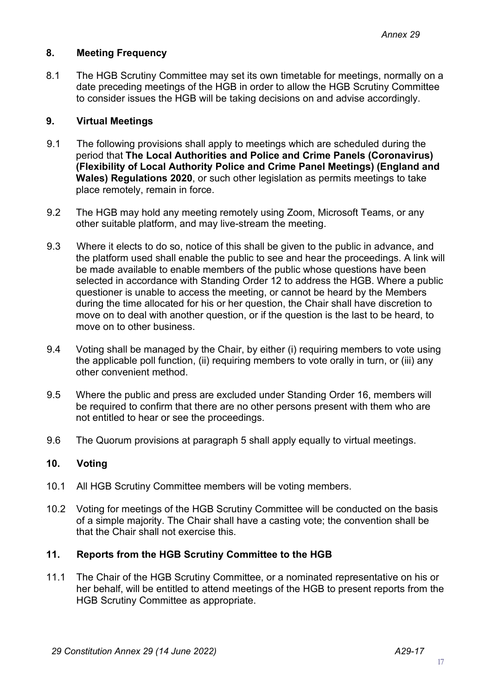## **8. Meeting Frequency**

8.1 The HGB Scrutiny Committee may set its own timetable for meetings, normally on a date preceding meetings of the HGB in order to allow the HGB Scrutiny Committee to consider issues the HGB will be taking decisions on and advise accordingly.

### **9. Virtual Meetings**

- 9.1 The following provisions shall apply to meetings which are scheduled during the period that **The Local Authorities and Police and Crime Panels (Coronavirus) (Flexibility of Local Authority Police and Crime Panel Meetings) (England and Wales) Regulations 2020**, or such other legislation as permits meetings to take place remotely, remain in force.
- 9.2 The HGB may hold any meeting remotely using Zoom, Microsoft Teams, or any other suitable platform, and may live-stream the meeting.
- 9.3 Where it elects to do so, notice of this shall be given to the public in advance, and the platform used shall enable the public to see and hear the proceedings. A link will be made available to enable members of the public whose questions have been selected in accordance with Standing Order 12 to address the HGB. Where a public questioner is unable to access the meeting, or cannot be heard by the Members during the time allocated for his or her question, the Chair shall have discretion to move on to deal with another question, or if the question is the last to be heard, to move on to other business.
- 9.4 Voting shall be managed by the Chair, by either (i) requiring members to vote using the applicable poll function, (ii) requiring members to vote orally in turn, or (iii) any other convenient method.
- 9.5 Where the public and press are excluded under Standing Order 16, members will be required to confirm that there are no other persons present with them who are not entitled to hear or see the proceedings.
- 9.6 The Quorum provisions at paragraph 5 shall apply equally to virtual meetings.

## **10. Voting**

- 10.1 All HGB Scrutiny Committee members will be voting members.
- 10.2 Voting for meetings of the HGB Scrutiny Committee will be conducted on the basis of a simple majority. The Chair shall have a casting vote; the convention shall be that the Chair shall not exercise this.

#### **11. Reports from the HGB Scrutiny Committee to the HGB**

11.1 The Chair of the HGB Scrutiny Committee, or a nominated representative on his or her behalf, will be entitled to attend meetings of the HGB to present reports from the HGB Scrutiny Committee as appropriate.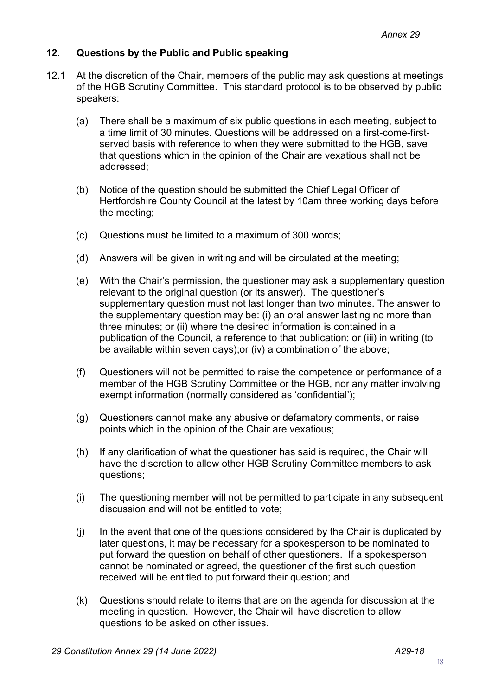## **12. Questions by the Public and Public speaking**

- 12.1 At the discretion of the Chair, members of the public may ask questions at meetings of the HGB Scrutiny Committee. This standard protocol is to be observed by public speakers:
	- (a) There shall be a maximum of six public questions in each meeting, subject to a time limit of 30 minutes. Questions will be addressed on a first-come-firstserved basis with reference to when they were submitted to the HGB, save that questions which in the opinion of the Chair are vexatious shall not be addressed;
	- (b) Notice of the question should be submitted the Chief Legal Officer of Hertfordshire County Council at the latest by 10am three working days before the meeting;
	- (c) Questions must be limited to a maximum of 300 words;
	- (d) Answers will be given in writing and will be circulated at the meeting;
	- (e) With the Chair's permission, the questioner may ask a supplementary question relevant to the original question (or its answer). The questioner's supplementary question must not last longer than two minutes. The answer to the supplementary question may be: (i) an oral answer lasting no more than three minutes; or (ii) where the desired information is contained in a publication of the Council, a reference to that publication; or (iii) in writing (to be available within seven days);or (iv) a combination of the above;
	- (f) Questioners will not be permitted to raise the competence or performance of a member of the HGB Scrutiny Committee or the HGB, nor any matter involving exempt information (normally considered as 'confidential');
	- (g) Questioners cannot make any abusive or defamatory comments, or raise points which in the opinion of the Chair are vexatious;
	- (h) If any clarification of what the questioner has said is required, the Chair will have the discretion to allow other HGB Scrutiny Committee members to ask questions;
	- (i) The questioning member will not be permitted to participate in any subsequent discussion and will not be entitled to vote;
	- (j) In the event that one of the questions considered by the Chair is duplicated by later questions, it may be necessary for a spokesperson to be nominated to put forward the question on behalf of other questioners. If a spokesperson cannot be nominated or agreed, the questioner of the first such question received will be entitled to put forward their question; and
	- (k) Questions should relate to items that are on the agenda for discussion at the meeting in question. However, the Chair will have discretion to allow questions to be asked on other issues.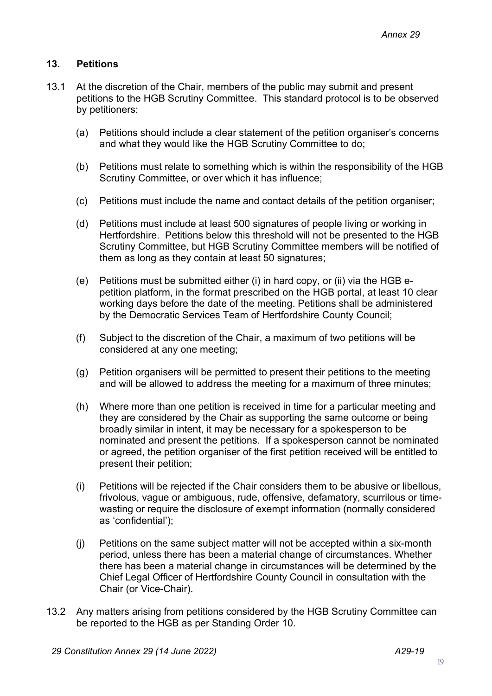# **13. Petitions**

- 13.1 At the discretion of the Chair, members of the public may submit and present petitions to the HGB Scrutiny Committee. This standard protocol is to be observed by petitioners:
	- (a) Petitions should include a clear statement of the petition organiser's concerns and what they would like the HGB Scrutiny Committee to do;
	- (b) Petitions must relate to something which is within the responsibility of the HGB Scrutiny Committee, or over which it has influence;
	- (c) Petitions must include the name and contact details of the petition organiser;
	- (d) Petitions must include at least 500 signatures of people living or working in Hertfordshire. Petitions below this threshold will not be presented to the HGB Scrutiny Committee, but HGB Scrutiny Committee members will be notified of them as long as they contain at least 50 signatures;
	- (e) Petitions must be submitted either (i) in hard copy, or (ii) via the HGB epetition platform, in the format prescribed on the HGB portal, at least 10 clear working days before the date of the meeting. Petitions shall be administered by the Democratic Services Team of Hertfordshire County Council;
	- (f) Subject to the discretion of the Chair, a maximum of two petitions will be considered at any one meeting;
	- (g) Petition organisers will be permitted to present their petitions to the meeting and will be allowed to address the meeting for a maximum of three minutes;
	- (h) Where more than one petition is received in time for a particular meeting and they are considered by the Chair as supporting the same outcome or being broadly similar in intent, it may be necessary for a spokesperson to be nominated and present the petitions. If a spokesperson cannot be nominated or agreed, the petition organiser of the first petition received will be entitled to present their petition;
	- (i) Petitions will be rejected if the Chair considers them to be abusive or libellous, frivolous, vague or ambiguous, rude, offensive, defamatory, scurrilous or timewasting or require the disclosure of exempt information (normally considered as 'confidential');
	- (j) Petitions on the same subject matter will not be accepted within a six-month period, unless there has been a material change of circumstances. Whether there has been a material change in circumstances will be determined by the Chief Legal Officer of Hertfordshire County Council in consultation with the Chair (or Vice-Chair).
- 13.2 Any matters arising from petitions considered by the HGB Scrutiny Committee can be reported to the HGB as per Standing Order 10.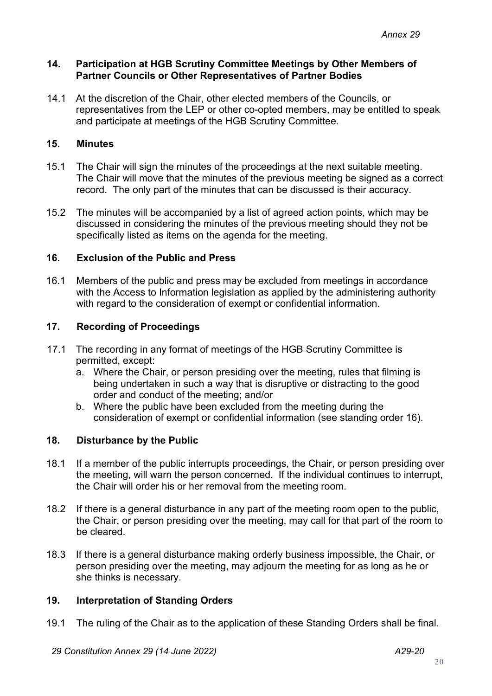### **14. Participation at HGB Scrutiny Committee Meetings by Other Members of Partner Councils or Other Representatives of Partner Bodies**

14.1 At the discretion of the Chair, other elected members of the Councils, or representatives from the LEP or other co-opted members, may be entitled to speak and participate at meetings of the HGB Scrutiny Committee.

# **15. Minutes**

- 15.1 The Chair will sign the minutes of the proceedings at the next suitable meeting. The Chair will move that the minutes of the previous meeting be signed as a correct record. The only part of the minutes that can be discussed is their accuracy.
- 15.2 The minutes will be accompanied by a list of agreed action points, which may be discussed in considering the minutes of the previous meeting should they not be specifically listed as items on the agenda for the meeting.

## **16. Exclusion of the Public and Press**

16.1 Members of the public and press may be excluded from meetings in accordance with the Access to Information legislation as applied by the administering authority with regard to the consideration of exempt or confidential information.

## **17. Recording of Proceedings**

- 17.1 The recording in any format of meetings of the HGB Scrutiny Committee is permitted, except:
	- a. Where the Chair, or person presiding over the meeting, rules that filming is being undertaken in such a way that is disruptive or distracting to the good order and conduct of the meeting; and/or
	- b. Where the public have been excluded from the meeting during the consideration of exempt or confidential information (see standing order 16).

# **18. Disturbance by the Public**

- 18.1 If a member of the public interrupts proceedings, the Chair, or person presiding over the meeting, will warn the person concerned. If the individual continues to interrupt, the Chair will order his or her removal from the meeting room.
- 18.2 If there is a general disturbance in any part of the meeting room open to the public, the Chair, or person presiding over the meeting, may call for that part of the room to be cleared.
- 18.3 If there is a general disturbance making orderly business impossible, the Chair, or person presiding over the meeting, may adjourn the meeting for as long as he or she thinks is necessary.

# **19. Interpretation of Standing Orders**

19.1 The ruling of the Chair as to the application of these Standing Orders shall be final.